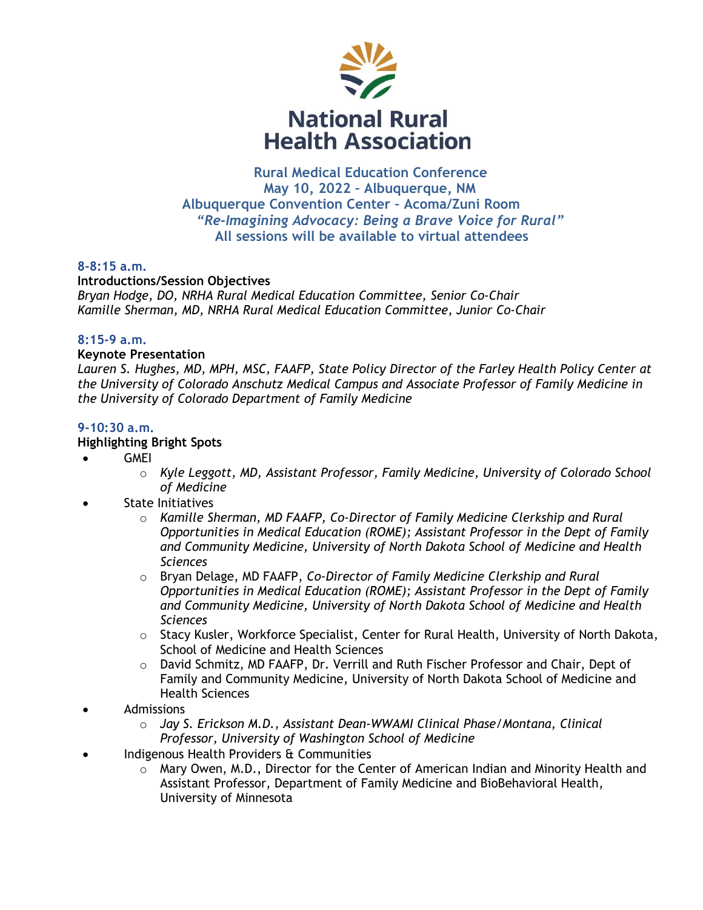

 **Rural Medical Education Conference May 10, 2022 – Albuquerque, NM Albuquerque Convention Center – Acoma/Zuni Room**   *"Re-Imagining Advocacy: Being a Brave Voice for Rural"*  **All sessions will be available to virtual attendees** 

## **8-8:15 a.m.**

**Introductions/Session Objectives**  *Bryan Hodge, DO, NRHA Rural Medical Education Committee, Senior Co-Chair Kamille Sherman, MD, NRHA Rural Medical Education Committee, Junior Co-Chair*

## **8:15-9 a.m.**

## **Keynote Presentation**

Lauren S. Hughes, MD, MPH, MSC, FAAFP, State Policy Director of the Farley Health Policy Center at *the University of Colorado Anschutz Medical Campus and Associate Professor of Family Medicine in the University of Colorado Department of Family Medicine*

# **9-10:30 a.m.**

## **Highlighting Bright Spots**

- GMEI
	- o *Kyle Leggott, MD, Assistant Professor, Family Medicine, University of Colorado School of Medicine*
- State Initiatives
	- o *Kamille Sherman, MD FAAFP, Co-Director of Family Medicine Clerkship and Rural Opportunities in Medical Education (ROME); Assistant Professor in the Dept of Family and Community Medicine, University of North Dakota School of Medicine and Health Sciences*
	- o Bryan Delage, MD FAAFP, *Co-Director of Family Medicine Clerkship and Rural Opportunities in Medical Education (ROME); Assistant Professor in the Dept of Family and Community Medicine, University of North Dakota School of Medicine and Health Sciences*
	- $\circ$  Stacy Kusler, Workforce Specialist, Center for Rural Health, University of North Dakota, School of Medicine and Health Sciences
	- $\circ$  David Schmitz, MD FAAFP, Dr. Verrill and Ruth Fischer Professor and Chair, Dept of Family and Community Medicine, University of North Dakota School of Medicine and Health Sciences
- Admissions
	- o *Jay S. Erickson M.D., Assistant Dean-WWAMI Clinical Phase/Montana, Clinical Professor, University of Washington School of Medicine*
- Indigenous Health Providers & Communities
	- $\circ$  Mary Owen, M.D., Director for the Center of American Indian and Minority Health and Assistant Professor, Department of Family Medicine and BioBehavioral Health, University of Minnesota